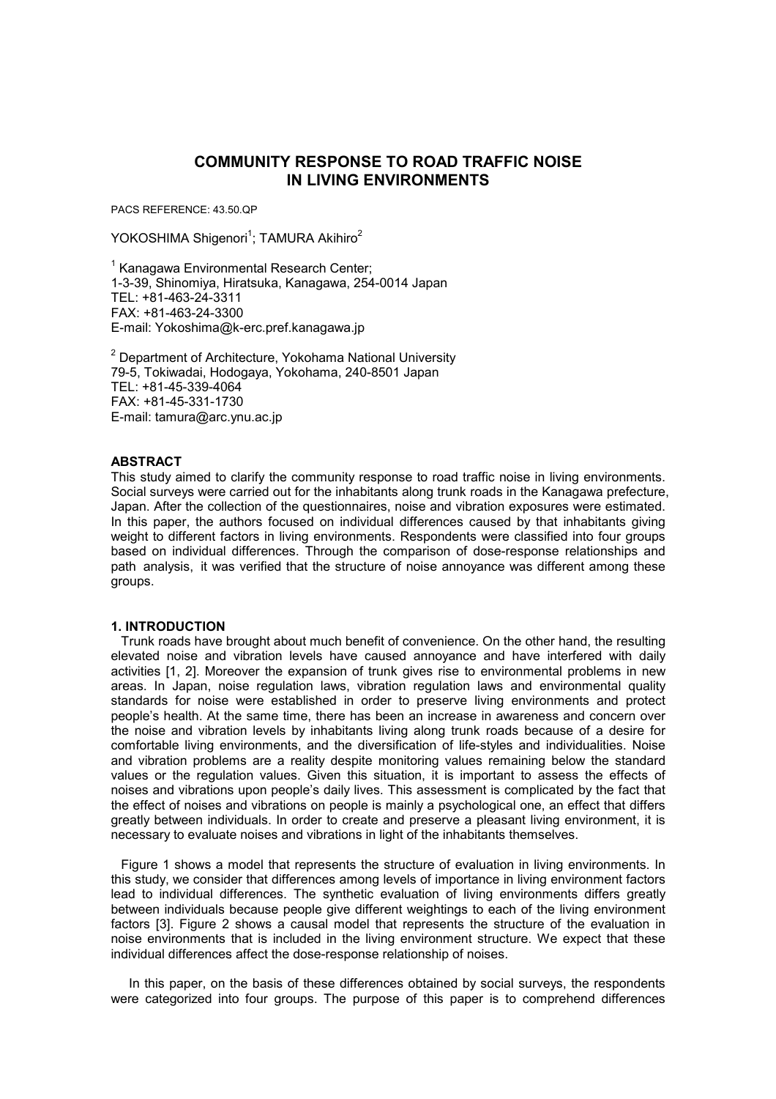# **COMMUNITY RESPONSE TO ROAD TRAFFIC NOISE IN LIVING ENVIRONMENTS**

PACS REFERENCE: 43.50.QP

YOKOSHIMA Shigenori<sup>1</sup>; TAMURA Akihiro<sup>2</sup>

<sup>1</sup> Kanagawa Environmental Research Center; 1-3-39, Shinomiya, Hiratsuka, Kanagawa, 254-0014 Japan TEL: +81-463-24-3311 FAX: +81-463-24-3300 E-mail: Yokoshima@k-erc.pref.kanagawa.jp

<sup>2</sup> Department of Architecture, Yokohama National University 79-5, Tokiwadai, Hodogaya, Yokohama, 240-8501 Japan TEL: +81-45-339-4064 FAX: +81-45-331-1730 E-mail: tamura@arc.ynu.ac.jp

### **ABSTRACT**

This study aimed to clarify the community response to road traffic noise in living environments. Social surveys were carried out for the inhabitants along trunk roads in the Kanagawa prefecture, Japan. After the collection of the questionnaires, noise and vibration exposures were estimated. In this paper, the authors focused on individual differences caused by that inhabitants giving weight to different factors in living environments. Respondents were classified into four groups based on individual differences. Through the comparison of dose-response relationships and path analysis, it was verified that the structure of noise annoyance was different among these groups.

#### **1. INTRODUCTION**

Trunk roads have brought about much benefit of convenience. On the other hand, the resulting elevated noise and vibration levels have caused annoyance and have interfered with daily activities [1, 2]. Moreover the expansion of trunk gives rise to environmental problems in new areas. In Japan, noise regulation laws, vibration regulation laws and environmental quality standards for noise were established in order to preserve living environments and protect people's health. At the same time, there has been an increase in awareness and concern over the noise and vibration levels by inhabitants living along trunk roads because of a desire for comfortable living environments, and the diversification of life-styles and individualities. Noise and vibration problems are a reality despite monitoring values remaining below the standard values or the regulation values. Given this situation, it is important to assess the effects of noises and vibrations upon people's daily lives. This assessment is complicated by the fact that the effect of noises and vibrations on people is mainly a psychological one, an effect that differs greatly between individuals. In order to create and preserve a pleasant living environment, it is necessary to evaluate noises and vibrations in light of the inhabitants themselves.

Figure 1 shows a model that represents the structure of evaluation in living environments. In this study, we consider that differences among levels of importance in living environment factors lead to individual differences. The synthetic evaluation of living environments differs greatly between individuals because people give different weightings to each of the living environment factors [3]. Figure 2 shows a causal model that represents the structure of the evaluation in noise environments that is included in the living environment structure. We expect that these individual differences affect the dose-response relationship of noises.

 In this paper, on the basis of these differences obtained by social surveys, the respondents were categorized into four groups. The purpose of this paper is to comprehend differences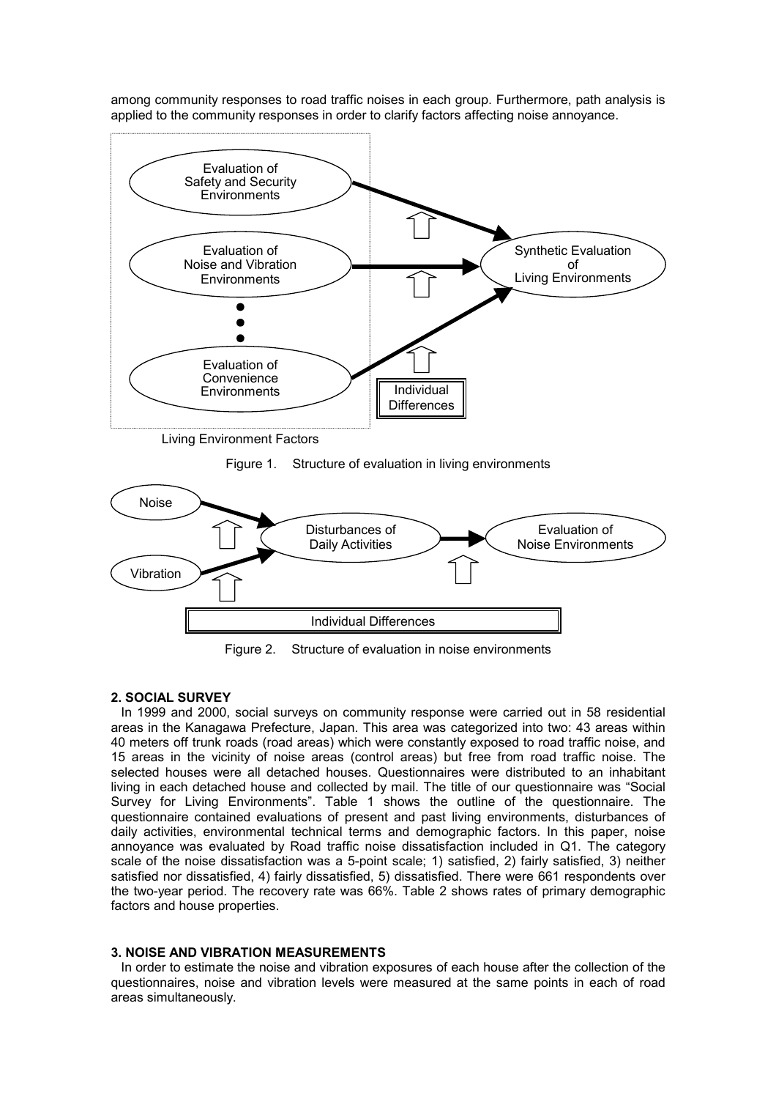among community responses to road traffic noises in each group. Furthermore, path analysis is applied to the community responses in order to clarify factors affecting noise annoyance.



Living Environment Factors

Figure 1. Structure of evaluation in living environments



Figure 2. Structure of evaluation in noise environments

## **2. SOCIAL SURVEY**

In 1999 and 2000, social surveys on community response were carried out in 58 residential areas in the Kanagawa Prefecture, Japan. This area was categorized into two: 43 areas within 40 meters off trunk roads (road areas) which were constantly exposed to road traffic noise, and 15 areas in the vicinity of noise areas (control areas) but free from road traffic noise. The selected houses were all detached houses. Questionnaires were distributed to an inhabitant living in each detached house and collected by mail. The title of our questionnaire was "Social Survey for Living Environments". Table 1 shows the outline of the questionnaire. The questionnaire contained evaluations of present and past living environments, disturbances of daily activities, environmental technical terms and demographic factors. In this paper, noise annoyance was evaluated by Road traffic noise dissatisfaction included in Q1. The category scale of the noise dissatisfaction was a 5-point scale; 1) satisfied, 2) fairly satisfied, 3) neither satisfied nor dissatisfied, 4) fairly dissatisfied, 5) dissatisfied. There were 661 respondents over the two-year period. The recovery rate was 66%. Table 2 shows rates of primary demographic factors and house properties.

### **3. NOISE AND VIBRATION MEASUREMENTS**

In order to estimate the noise and vibration exposures of each house after the collection of the questionnaires, noise and vibration levels were measured at the same points in each of road areas simultaneously.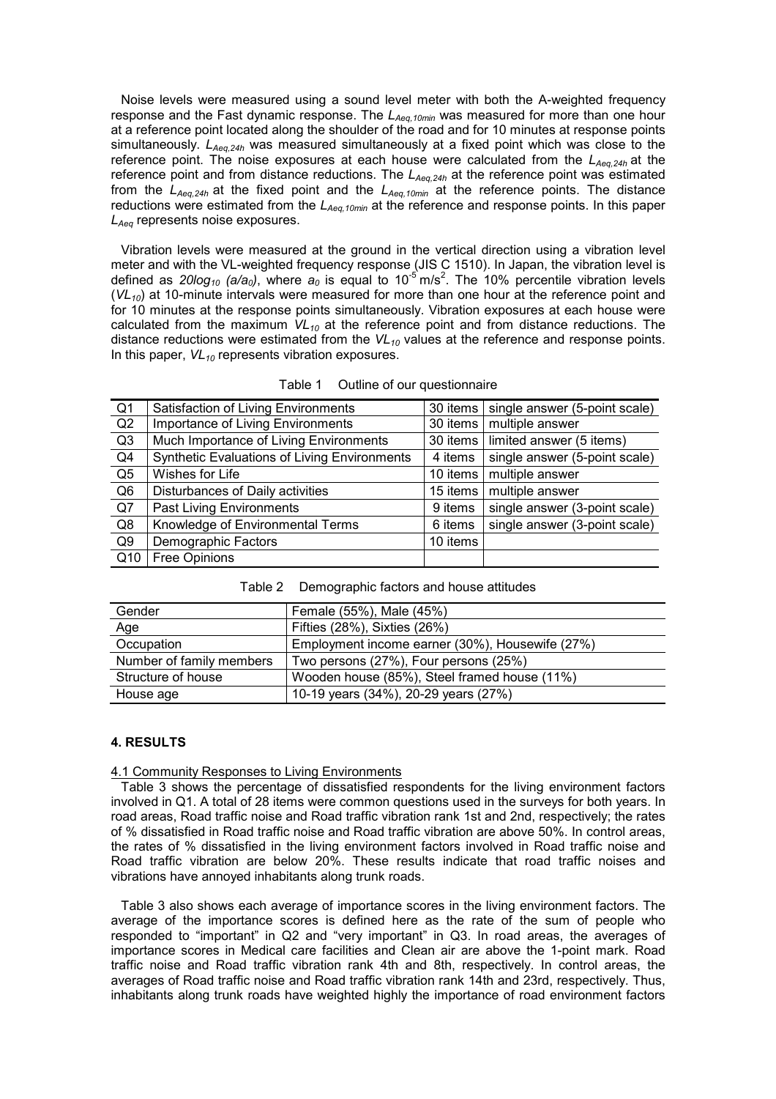Noise levels were measured using a sound level meter with both the A-weighted frequency response and the Fast dynamic response. The L<sub>Aeq,10min</sub> was measured for more than one hour at a reference point located along the shoulder of the road and for 10 minutes at response points simultaneously. *LAeq,24h* was measured simultaneously at a fixed point which was close to the reference point. The noise exposures at each house were calculated from the  $L_{Aea,24h}$  at the reference point and from distance reductions. The *L<sub>Aea,24h</sub>* at the reference point was estimated from the *LAeq,24h* at the fixed point and the *LAeq,10min* at the reference points. The distance reductions were estimated from the *LAeq,10min* at the reference and response points. In this paper *LAeq* represents noise exposures.

Vibration levels were measured at the ground in the vertical direction using a vibration level meter and with the VL-weighted frequency response (JIS C 1510). In Japan, the vibration level is defined as 20log<sub>10</sub> (a/a<sub>0</sub>), where a<sub>0</sub> is equal to 10<sup>-5</sup> m/s<sup>2</sup>. The 10% percentile vibration levels  $(V<sub>10</sub>)$  at 10-minute intervals were measured for more than one hour at the reference point and for 10 minutes at the response points simultaneously. Vibration exposures at each house were calculated from the maximum  $VL_{10}$  at the reference point and from distance reductions. The distance reductions were estimated from the  $VL_{10}$  values at the reference and response points. In this paper,  $VL_{10}$  represents vibration exposures.

| Q <sub>1</sub> | Satisfaction of Living Environments          | 30 items | single answer (5-point scale) |
|----------------|----------------------------------------------|----------|-------------------------------|
| Q2             | Importance of Living Environments            | 30 items | multiple answer               |
| Q3             | Much Importance of Living Environments       | 30 items | limited answer (5 items)      |
| Q4             | Synthetic Evaluations of Living Environments | 4 items  | single answer (5-point scale) |
| Q <sub>5</sub> | Wishes for Life                              | 10 items | multiple answer               |
| Q <sub>6</sub> | Disturbances of Daily activities             | 15 items | multiple answer               |
| Q7             | <b>Past Living Environments</b>              | 9 items  | single answer (3-point scale) |
| Q8             | Knowledge of Environmental Terms             | 6 items  | single answer (3-point scale) |
| Q <sub>9</sub> | Demographic Factors                          | 10 items |                               |
| Q10            | Free Opinions                                |          |                               |

Table 2 Demographic factors and house attitudes

| Gender                   | Female (55%), Male (45%)                        |  |  |  |  |
|--------------------------|-------------------------------------------------|--|--|--|--|
| Age                      | Fifties (28%), Sixties (26%)                    |  |  |  |  |
| Occupation               | Employment income earner (30%), Housewife (27%) |  |  |  |  |
| Number of family members | Two persons (27%), Four persons (25%)           |  |  |  |  |
| Structure of house       | Wooden house (85%), Steel framed house (11%)    |  |  |  |  |
| House age                | 10-19 years (34%), 20-29 years (27%)            |  |  |  |  |

### **4. RESULTS**

#### 4.1 Community Responses to Living Environments

Table 3 shows the percentage of dissatisfied respondents for the living environment factors involved in Q1. A total of 28 items were common questions used in the surveys for both years. In road areas, Road traffic noise and Road traffic vibration rank 1st and 2nd, respectively; the rates of % dissatisfied in Road traffic noise and Road traffic vibration are above 50%. In control areas, the rates of % dissatisfied in the living environment factors involved in Road traffic noise and Road traffic vibration are below 20%. These results indicate that road traffic noises and vibrations have annoyed inhabitants along trunk roads.

Table 3 also shows each average of importance scores in the living environment factors. The average of the importance scores is defined here as the rate of the sum of people who responded to "important" in Q2 and "very important" in Q3. In road areas, the averages of importance scores in Medical care facilities and Clean air are above the 1-point mark. Road traffic noise and Road traffic vibration rank 4th and 8th, respectively. In control areas, the averages of Road traffic noise and Road traffic vibration rank 14th and 23rd, respectively. Thus, inhabitants along trunk roads have weighted highly the importance of road environment factors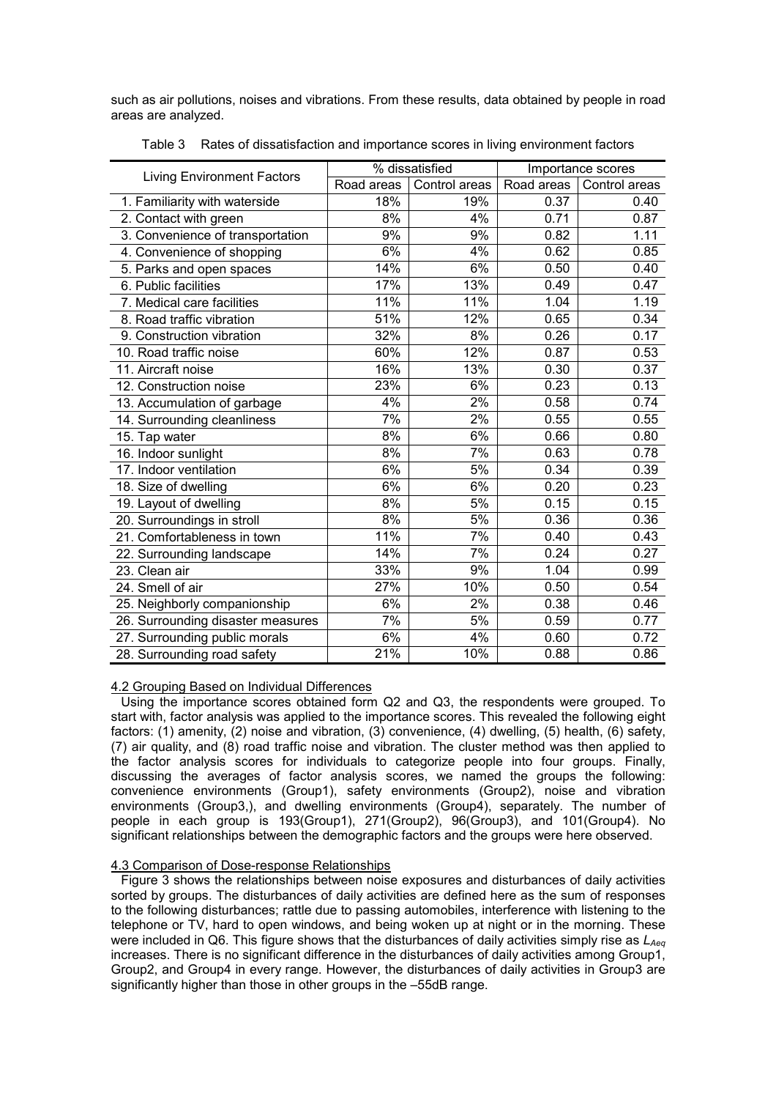such as air pollutions, noises and vibrations. From these results, data obtained by people in road areas are analyzed.

| <b>Living Environment Factors</b> | % dissatisfied |               | Importance scores |               |
|-----------------------------------|----------------|---------------|-------------------|---------------|
|                                   | Road areas     | Control areas | Road areas        | Control areas |
| 1. Familiarity with waterside     | 18%            | 19%           | 0.37              | 0.40          |
| 2. Contact with green             | 8%             | 4%            | 0.71              | 0.87          |
| 3. Convenience of transportation  | 9%             | 9%            | 0.82              | 1.11          |
| 4. Convenience of shopping        | 6%             | 4%            | 0.62              | 0.85          |
| 5. Parks and open spaces          | 14%            | 6%            | 0.50              | 0.40          |
| 6. Public facilities              | 17%            | 13%           | 0.49              | 0.47          |
| 7. Medical care facilities        | 11%            | 11%           | 1.04              | 1.19          |
| 8. Road traffic vibration         | 51%            | 12%           | 0.65              | 0.34          |
| 9. Construction vibration         | 32%            | 8%            | 0.26              | 0.17          |
| 10. Road traffic noise            | 60%            | 12%           | 0.87              | 0.53          |
| 11. Aircraft noise                | 16%            | 13%           | 0.30              | 0.37          |
| 12. Construction noise            | 23%            | 6%            | 0.23              | 0.13          |
| 13. Accumulation of garbage       | 4%             | 2%            | 0.58              | 0.74          |
| 14. Surrounding cleanliness       | 7%             | 2%            | 0.55              | 0.55          |
| 15. Tap water                     | 8%             | 6%            | 0.66              | 0.80          |
| 16. Indoor sunlight               | 8%             | 7%            | 0.63              | 0.78          |
| 17. Indoor ventilation            | 6%             | 5%            | 0.34              | 0.39          |
| 18. Size of dwelling              | 6%             | 6%            | 0.20              | 0.23          |
| 19. Layout of dwelling            | 8%             | 5%            | 0.15              | 0.15          |
| 20. Surroundings in stroll        | 8%             | 5%            | 0.36              | 0.36          |
| 21. Comfortableness in town       | 11%            | 7%            | 0.40              | 0.43          |
| 22. Surrounding landscape         | 14%            | 7%            | 0.24              | 0.27          |
| 23. Clean air                     | 33%            | 9%            | 1.04              | 0.99          |
| 24. Smell of air                  | 27%            | 10%           | 0.50              | 0.54          |
| 25. Neighborly companionship      | 6%             | 2%            | 0.38              | 0.46          |
| 26. Surrounding disaster measures | 7%             | 5%            | 0.59              | 0.77          |
| 27. Surrounding public morals     | 6%             | 4%            | 0.60              | 0.72          |
| 28. Surrounding road safety       | 21%            | 10%           | 0.88              | 0.86          |

Table 3 Rates of dissatisfaction and importance scores in living environment factors

### 4.2 Grouping Based on Individual Differences

Using the importance scores obtained form Q2 and Q3, the respondents were grouped. To start with, factor analysis was applied to the importance scores. This revealed the following eight factors: (1) amenity, (2) noise and vibration, (3) convenience, (4) dwelling, (5) health, (6) safety, (7) air quality, and (8) road traffic noise and vibration. The cluster method was then applied to the factor analysis scores for individuals to categorize people into four groups. Finally, discussing the averages of factor analysis scores, we named the groups the following: convenience environments (Group1), safety environments (Group2), noise and vibration environments (Group3,), and dwelling environments (Group4), separately. The number of people in each group is 193(Group1), 271(Group2), 96(Group3), and 101(Group4). No significant relationships between the demographic factors and the groups were here observed.

### 4.3 Comparison of Dose-response Relationships

Figure 3 shows the relationships between noise exposures and disturbances of daily activities sorted by groups. The disturbances of daily activities are defined here as the sum of responses to the following disturbances; rattle due to passing automobiles, interference with listening to the telephone or TV, hard to open windows, and being woken up at night or in the morning. These were included in Q6. This figure shows that the disturbances of daily activities simply rise as  $L_{Aea}$ increases. There is no significant difference in the disturbances of daily activities among Group1, Group2, and Group4 in every range. However, the disturbances of daily activities in Group3 are significantly higher than those in other groups in the –55dB range.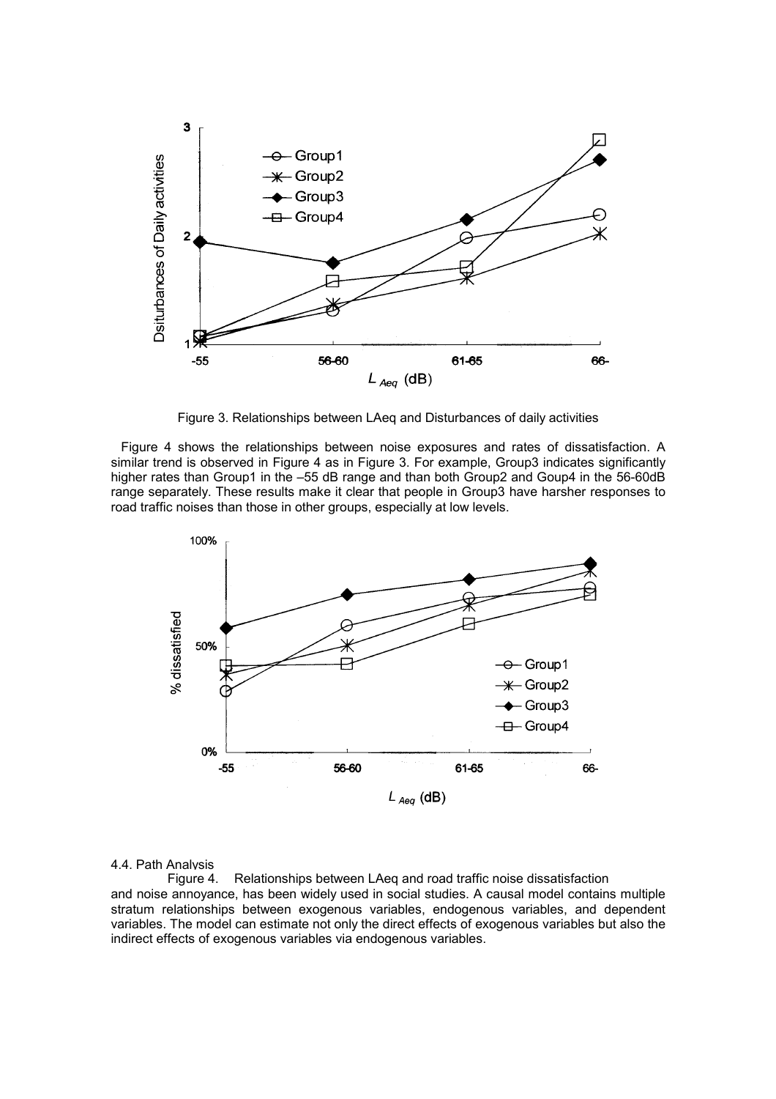

Figure 3. Relationships between LAeq and Disturbances of daily activities

Figure 4 shows the relationships between noise exposures and rates of dissatisfaction. A similar trend is observed in Figure 4 as in Figure 3. For example, Group3 indicates significantly higher rates than Group1 in the -55 dB range and than both Group2 and Goup4 in the 56-60dB range separately. These results make it clear that people in Group3 have harsher responses to road traffic noises than those in other groups, especially at low levels.



### 4.4. Path Analysis

Figure 4. Relationships between LAeq and road traffic noise dissatisfaction and noise annoyance, has been widely used in social studies. A causal model contains multiple stratum relationships between exogenous variables, endogenous variables, and dependent variables. The model can estimate not only the direct effects of exogenous variables but also the indirect effects of exogenous variables via endogenous variables.